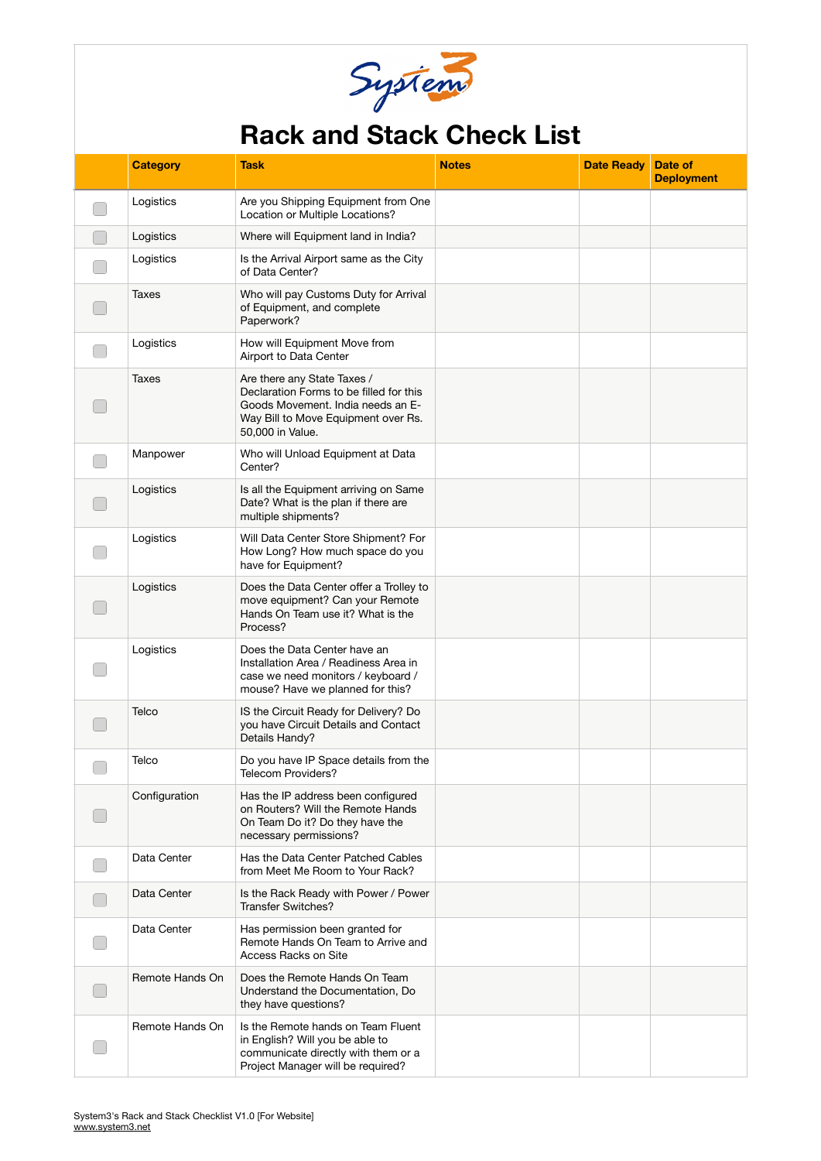

## **Rack and Stack Check List**

|                          | <b>Category</b> | Task                                                                                                                                                                   | <b>Notes</b> | <b>Date Ready</b> | Date of<br><b>Deployment</b> |
|--------------------------|-----------------|------------------------------------------------------------------------------------------------------------------------------------------------------------------------|--------------|-------------------|------------------------------|
|                          | Logistics       | Are you Shipping Equipment from One<br>Location or Multiple Locations?                                                                                                 |              |                   |                              |
|                          | Logistics       | Where will Equipment land in India?                                                                                                                                    |              |                   |                              |
|                          | Logistics       | Is the Arrival Airport same as the City<br>of Data Center?                                                                                                             |              |                   |                              |
|                          | Taxes           | Who will pay Customs Duty for Arrival<br>of Equipment, and complete<br>Paperwork?                                                                                      |              |                   |                              |
|                          | Logistics       | How will Equipment Move from<br>Airport to Data Center                                                                                                                 |              |                   |                              |
|                          | Taxes           | Are there any State Taxes /<br>Declaration Forms to be filled for this<br>Goods Movement. India needs an E-<br>Way Bill to Move Equipment over Rs.<br>50,000 in Value. |              |                   |                              |
|                          | Manpower        | Who will Unload Equipment at Data<br>Center?                                                                                                                           |              |                   |                              |
|                          | Logistics       | Is all the Equipment arriving on Same<br>Date? What is the plan if there are<br>multiple shipments?                                                                    |              |                   |                              |
|                          | Logistics       | Will Data Center Store Shipment? For<br>How Long? How much space do you<br>have for Equipment?                                                                         |              |                   |                              |
|                          | Logistics       | Does the Data Center offer a Trolley to<br>move equipment? Can your Remote<br>Hands On Team use it? What is the<br>Process?                                            |              |                   |                              |
|                          | Logistics       | Does the Data Center have an<br>Installation Area / Readiness Area in<br>case we need monitors / keyboard /<br>mouse? Have we planned for this?                        |              |                   |                              |
|                          | Telco           | IS the Circuit Ready for Delivery? Do<br>you have Circuit Details and Contact<br>Details Handy?                                                                        |              |                   |                              |
| $\overline{\phantom{0}}$ | Telco           | Do you have IP Space details from the<br>Telecom Providers?                                                                                                            |              |                   |                              |
|                          | Configuration   | Has the IP address been configured<br>on Routers? Will the Remote Hands<br>On Team Do it? Do they have the<br>necessary permissions?                                   |              |                   |                              |
|                          | Data Center     | Has the Data Center Patched Cables<br>from Meet Me Room to Your Rack?                                                                                                  |              |                   |                              |
|                          | Data Center     | Is the Rack Ready with Power / Power<br><b>Transfer Switches?</b>                                                                                                      |              |                   |                              |
|                          | Data Center     | Has permission been granted for<br>Remote Hands On Team to Arrive and<br>Access Racks on Site                                                                          |              |                   |                              |
|                          | Remote Hands On | Does the Remote Hands On Team<br>Understand the Documentation, Do<br>they have questions?                                                                              |              |                   |                              |
|                          | Remote Hands On | Is the Remote hands on Team Fluent<br>in English? Will you be able to<br>communicate directly with them or a<br>Project Manager will be required?                      |              |                   |                              |